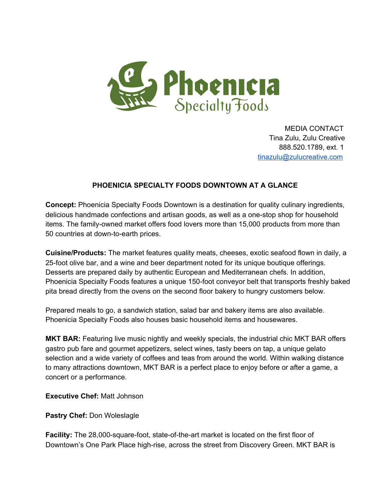

MEDIA CONTACT Tina Zulu, Zulu Creative 888.520.1789, ext. 1 [tinazulu@zulucreative.com](mailto:tinazulu@zulucreative.com)

## **PHOENICIA SPECIALTY FOODS DOWNTOWN AT A GLANCE**

**Concept:** Phoenicia Specialty Foods Downtown is a destination for quality culinary ingredients, delicious handmade confections and artisan goods, as well as a onestop shop for household items. The family-owned market offers food lovers more than 15,000 products from more than 50 countries at down-to-earth prices.

**Cuisine/Products:** The market features quality meats, cheeses, exotic seafood flown in daily, a 25-foot olive bar, and a wine and beer department noted for its unique boutique offerings. Desserts are prepared daily by authentic European and Mediterranean chefs. In addition, Phoenicia Specialty Foods features a unique 150-foot conveyor belt that transports freshly baked pita bread directly from the ovens on the second floor bakery to hungry customers below.

Prepared meals to go, a sandwich station, salad bar and bakery items are also available. Phoenicia Specialty Foods also houses basic household items and housewares.

**MKT BAR:** Featuring live music nightly and weekly specials, the industrial chic MKT BAR offers gastro pub fare and gourmet appetizers, select wines, tasty beers on tap, a unique gelato selection and a wide variety of coffees and teas from around the world. Within walking distance to many attractions downtown, MKT BAR is a perfect place to enjoy before or after a game, a concert or a performance.

**Executive Chef:** Matt Johnson

**Pastry Chef:** Don Woleslagle

**Facility:** The 28,000-square-foot, state-of-the-art market is located on the first floor of Downtown's One Park Place high-rise, across the street from Discovery Green. MKT BAR is